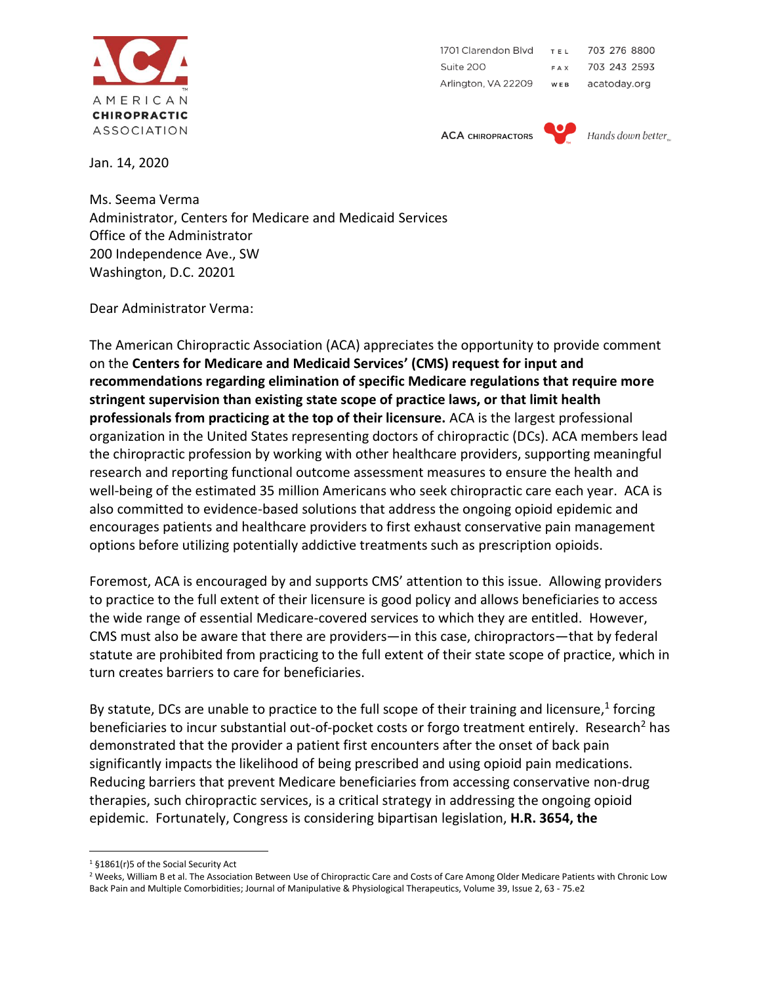

703 276 8800 1701 Clarendon Blvd **TEL** Suite 200 703 243 2593 FAX Arlington, VA 22209 WEB acatoday.org

**ACA CHIROPRACTORS** 



Hands down better.

Jan. 14, 2020

Ms. Seema Verma Administrator, Centers for Medicare and Medicaid Services Office of the Administrator 200 Independence Ave., SW Washington, D.C. 20201

Dear Administrator Verma:

The American Chiropractic Association (ACA) appreciates the opportunity to provide comment on the **Centers for Medicare and Medicaid Services' (CMS) request for input and recommendations regarding elimination of specific Medicare regulations that require more stringent supervision than existing state scope of practice laws, or that limit health professionals from practicing at the top of their licensure.** ACA is the largest professional organization in the United States representing doctors of chiropractic (DCs). ACA members lead the chiropractic profession by working with other healthcare providers, supporting meaningful research and reporting functional outcome assessment measures to ensure the health and well-being of the estimated 35 million Americans who seek chiropractic care each year. ACA is also committed to evidence-based solutions that address the ongoing opioid epidemic and encourages patients and healthcare providers to first exhaust conservative pain management options before utilizing potentially addictive treatments such as prescription opioids.

Foremost, ACA is encouraged by and supports CMS' attention to this issue. Allowing providers to practice to the full extent of their licensure is good policy and allows beneficiaries to access the wide range of essential Medicare-covered services to which they are entitled. However, CMS must also be aware that there are providers—in this case, chiropractors—that by federal statute are prohibited from practicing to the full extent of their state scope of practice, which in turn creates barriers to care for beneficiaries.

By statute, DCs are unable to practice to the full scope of their training and licensure,<sup>1</sup> forcing beneficiaries to incur substantial out-of-pocket costs or forgo treatment entirely. Research<sup>2</sup> has demonstrated that the provider a patient first encounters after the onset of back pain significantly impacts the likelihood of being prescribed and using opioid pain medications. Reducing barriers that prevent Medicare beneficiaries from accessing conservative non-drug therapies, such chiropractic services, is a critical strategy in addressing the ongoing opioid epidemic. Fortunately, Congress is considering bipartisan legislation, **H.R. 3654, the** 

<sup>1</sup> §1861(r)5 of the Social Security Act

<sup>&</sup>lt;sup>2</sup> Weeks, William B et al. The Association Between Use of Chiropractic Care and Costs of Care Among Older Medicare Patients with Chronic Low Back Pain and Multiple Comorbidities; Journal of Manipulative & Physiological Therapeutics, Volume 39, Issue 2, 63 - 75.e2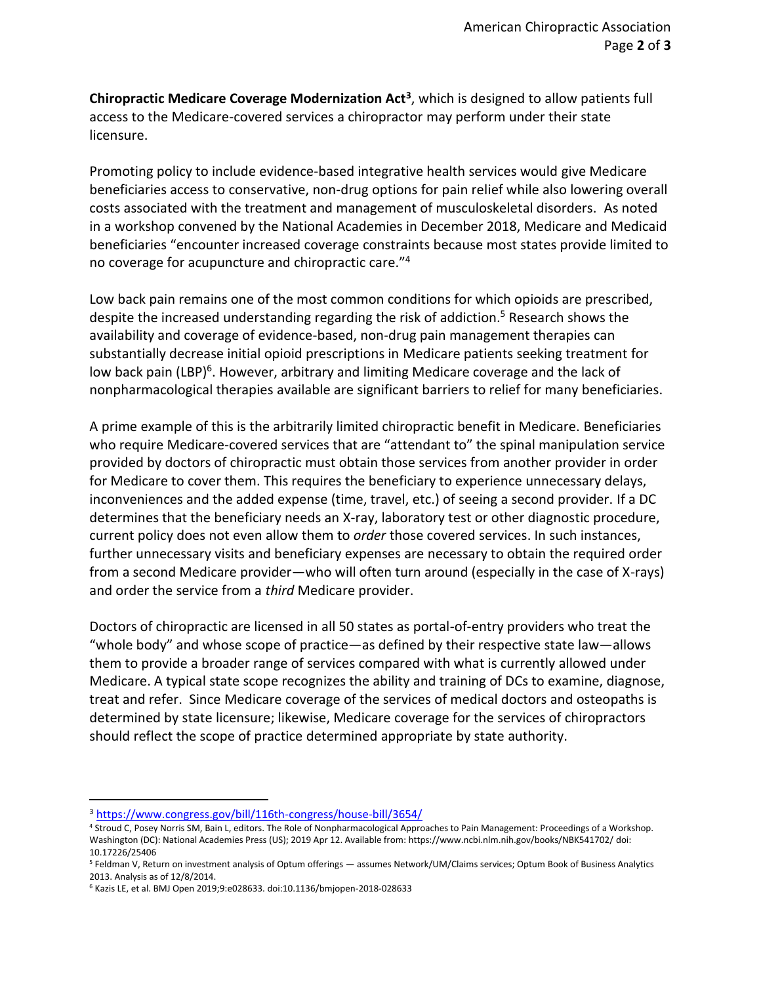**Chiropractic Medicare Coverage Modernization Act<sup>3</sup>** , which is designed to allow patients full access to the Medicare-covered services a chiropractor may perform under their state licensure.

Promoting policy to include evidence-based integrative health services would give Medicare beneficiaries access to conservative, non-drug options for pain relief while also lowering overall costs associated with the treatment and management of musculoskeletal disorders. As noted in a workshop convened by the National Academies in December 2018, Medicare and Medicaid beneficiaries "encounter increased coverage constraints because most states provide limited to no coverage for acupuncture and chiropractic care."<sup>4</sup>

Low back pain remains one of the most common conditions for which opioids are prescribed, despite the increased understanding regarding the risk of addiction.<sup>5</sup> Research shows the availability and coverage of evidence-based, non-drug pain management therapies can substantially decrease initial opioid prescriptions in Medicare patients seeking treatment for low back pain (LBP)<sup>6</sup>. However, arbitrary and limiting Medicare coverage and the lack of nonpharmacological therapies available are significant barriers to relief for many beneficiaries.

A prime example of this is the arbitrarily limited chiropractic benefit in Medicare. Beneficiaries who require Medicare-covered services that are "attendant to" the spinal manipulation service provided by doctors of chiropractic must obtain those services from another provider in order for Medicare to cover them. This requires the beneficiary to experience unnecessary delays, inconveniences and the added expense (time, travel, etc.) of seeing a second provider. If a DC determines that the beneficiary needs an X-ray, laboratory test or other diagnostic procedure, current policy does not even allow them to *order* those covered services. In such instances, further unnecessary visits and beneficiary expenses are necessary to obtain the required order from a second Medicare provider—who will often turn around (especially in the case of X-rays) and order the service from a *third* Medicare provider.

Doctors of chiropractic are licensed in all 50 states as portal-of-entry providers who treat the "whole body" and whose scope of practice—as defined by their respective state law—allows them to provide a broader range of services compared with what is currently allowed under Medicare. A typical state scope recognizes the ability and training of DCs to examine, diagnose, treat and refer. Since Medicare coverage of the services of medical doctors and osteopaths is determined by state licensure; likewise, Medicare coverage for the services of chiropractors should reflect the scope of practice determined appropriate by state authority.

<sup>3</sup> <https://www.congress.gov/bill/116th-congress/house-bill/3654/>

<sup>&</sup>lt;sup>4</sup> Stroud C, Posey Norris SM, Bain L, editors. The Role of Nonpharmacological Approaches to Pain Management: Proceedings of a Workshop. Washington (DC): National Academies Press (US); 2019 Apr 12. Available from: https://www.ncbi.nlm.nih.gov/books/NBK541702/ doi: 10.17226/25406

<sup>5</sup> Feldman V, Return on investment analysis of Optum offerings — assumes Network/UM/Claims services; Optum Book of Business Analytics 2013. Analysis as of 12/8/2014.

<sup>6</sup> Kazis LE, et al. BMJ Open 2019;9:e028633. doi:10.1136/bmjopen-2018-028633